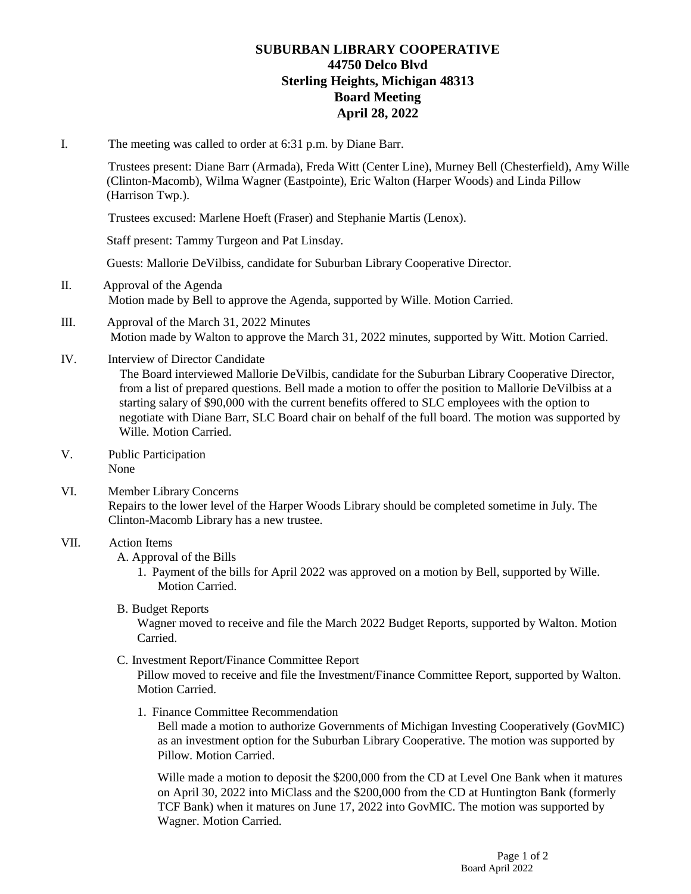# **SUBURBAN LIBRARY COOPERATIVE 44750 Delco Blvd Sterling Heights, Michigan 48313 Board Meeting April 28, 2022**

I. The meeting was called to order at 6:31 p.m. by Diane Barr.

Trustees present: Diane Barr (Armada), Freda Witt (Center Line), Murney Bell (Chesterfield), Amy Wille (Clinton-Macomb), Wilma Wagner (Eastpointe), Eric Walton (Harper Woods) and Linda Pillow (Harrison Twp.).

Trustees excused: Marlene Hoeft (Fraser) and Stephanie Martis (Lenox).

Staff present: Tammy Turgeon and Pat Linsday.

Guests: Mallorie DeVilbiss, candidate for Suburban Library Cooperative Director.

- II. Approval of the Agenda Motion made by Bell to approve the Agenda, supported by Wille. Motion Carried.
- III. Approval of the March 31, 2022 Minutes Motion made by Walton to approve the March 31, 2022 minutes, supported by Witt. Motion Carried.
- IV. Interview of Director Candidate

 The Board interviewed Mallorie DeVilbis, candidate for the Suburban Library Cooperative Director, from a list of prepared questions. Bell made a motion to offer the position to Mallorie DeVilbiss at a starting salary of \$90,000 with the current benefits offered to SLC employees with the option to negotiate with Diane Barr, SLC Board chair on behalf of the full board. The motion was supported by Wille. Motion Carried.

- V. Public Participation None
- VI. Member Library Concerns Repairs to the lower level of the Harper Woods Library should be completed sometime in July. The Clinton-Macomb Library has a new trustee.

#### VII. Action Items

A. Approval of the Bills

1. Payment of the bills for April 2022 was approved on a motion by Bell, supported by Wille. Motion Carried.

B. Budget Reports

Wagner moved to receive and file the March 2022 Budget Reports, supported by Walton. Motion Carried.

C. Investment Report/Finance Committee Report

Pillow moved to receive and file the Investment/Finance Committee Report, supported by Walton. Motion Carried.

1. Finance Committee Recommendation

Bell made a motion to authorize Governments of Michigan Investing Cooperatively (GovMIC) as an investment option for the Suburban Library Cooperative. The motion was supported by Pillow. Motion Carried.

Wille made a motion to deposit the \$200,000 from the CD at Level One Bank when it matures on April 30, 2022 into MiClass and the \$200,000 from the CD at Huntington Bank (formerly TCF Bank) when it matures on June 17, 2022 into GovMIC. The motion was supported by Wagner. Motion Carried.